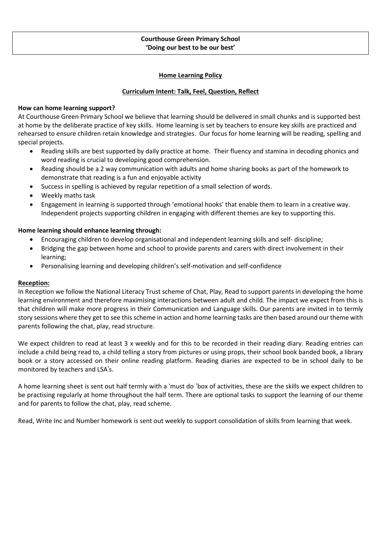# **Courthouse Green Primary School 'Doing our best to be our best'**

## **Home Learning Policy**

## **Curriculum Intent: Talk, Feel, Question, Reflect**

#### **How can home learning support?**

At Courthouse Green Primary School we believe that learning should be delivered in small chunks and is supported best at home by the deliberate practice of key skills. Home learning is set by teachers to ensure key skills are practiced and rehearsed to ensure children retain knowledge and strategies. Our focus for home learning will be reading, spelling and special projects.

- Reading skills are best supported by daily practice at home. Their fluency and stamina in decoding phonics and word reading is crucial to developing good comprehension.
- Reading should be a 2 way communication with adults and home sharing books as part of the homework to demonstrate that reading is a fun and enjoyable activity
- Success in spelling is achieved by regular repetition of a small selection of words.
- Weekly maths task
- Engagement in learning is supported through 'emotional hooks' that enable them to learn in a creative way. Independent projects supporting children in engaging with different themes are key to supporting this.

## **Home learning should enhance learning through:**

- Encouraging children to develop organisational and independent learning skills and self- discipline;
- Bridging the gap between home and school to provide parents and carers with direct involvement in their learning;
- Personalising learning and developing children's self-motivation and self-confidence

# **Reception:**

In Reception we follow the National Literacy Trust scheme of Chat, Play, Read to support parents in developing the home learning environment and therefore maximising interactions between adult and child. The impact we expect from this is that children will make more progress in their Communication and Language skills. Our parents are invited in to termly story sessions where they get to see this scheme in action and home learning tasks are then based around our theme with parents following the chat, play, read structure.

We expect children to read at least 3 x weekly and for this to be recorded in their reading diary. Reading entries can include a child being read to, a child telling a story from pictures or using props, their school book banded book, a library book or a story accessed on their online reading platform. Reading diaries are expected to be in school daily to be monitored by teachers and LSA's.

A home learning sheet is sent out half termly with a 'must do 'box of activities, these are the skills we expect children to be practising regularly at home throughout the half term. There are optional tasks to support the learning of our theme and for parents to follow the chat, play, read scheme.

Read, Write Inc and Number homework is sent out weekly to support consolidation of skills from learning that week.